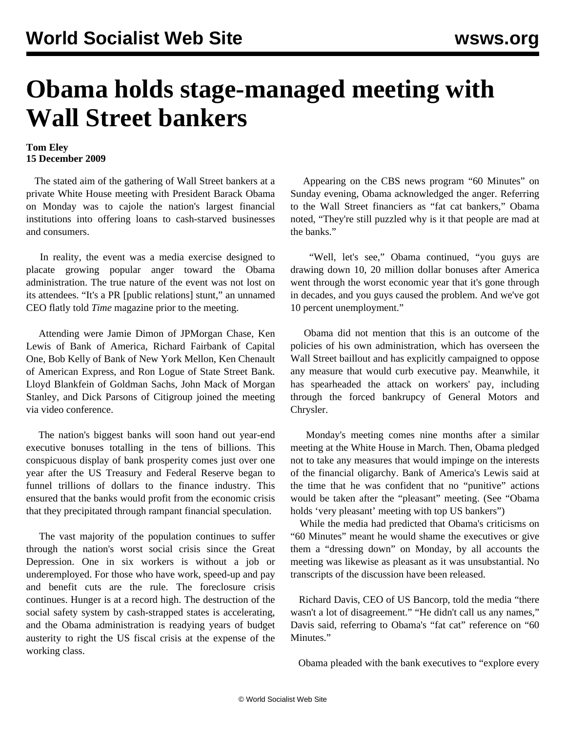## **Obama holds stage-managed meeting with Wall Street bankers**

## **Tom Eley 15 December 2009**

 The stated aim of the gathering of Wall Street bankers at a private White House meeting with President Barack Obama on Monday was to cajole the nation's largest financial institutions into offering loans to cash-starved businesses and consumers.

 In reality, the event was a media exercise designed to placate growing popular anger toward the Obama administration. The true nature of the event was not lost on its attendees. "It's a PR [public relations] stunt," an unnamed CEO flatly told *Time* magazine prior to the meeting.

 Attending were Jamie Dimon of JPMorgan Chase, Ken Lewis of Bank of America, Richard Fairbank of Capital One, Bob Kelly of Bank of New York Mellon, Ken Chenault of American Express, and Ron Logue of State Street Bank. Lloyd Blankfein of Goldman Sachs, John Mack of Morgan Stanley, and Dick Parsons of Citigroup joined the meeting via video conference.

 The nation's biggest banks will soon hand out year-end executive bonuses totalling in the tens of billions. This conspicuous display of bank prosperity comes just over one year after the US Treasury and Federal Reserve began to funnel trillions of dollars to the finance industry. This ensured that the banks would profit from the economic crisis that they precipitated through rampant financial speculation.

 The vast majority of the population continues to suffer through the nation's worst social crisis since the Great Depression. One in six workers is without a job or underemployed. For those who have work, speed-up and pay and benefit cuts are the rule. The foreclosure crisis continues. Hunger is at a record high. The destruction of the social safety system by cash-strapped states is accelerating, and the Obama administration is readying years of budget austerity to right the US fiscal crisis at the expense of the working class.

 Appearing on the CBS news program "60 Minutes" on Sunday evening, Obama acknowledged the anger. Referring to the Wall Street financiers as "fat cat bankers," Obama noted, "They're still puzzled why is it that people are mad at the banks."

 "Well, let's see," Obama continued, "you guys are drawing down 10, 20 million dollar bonuses after America went through the worst economic year that it's gone through in decades, and you guys caused the problem. And we've got 10 percent unemployment."

 Obama did not mention that this is an outcome of the policies of his own administration, which has overseen the Wall Street baillout and has explicitly campaigned to oppose any measure that would curb executive pay. Meanwhile, it has spearheaded the attack on workers' pay, including through the forced bankrupcy of General Motors and Chrysler.

 Monday's meeting comes nine months after a similar meeting at the White House in March. Then, Obama pledged not to take any measures that would impinge on the interests of the financial oligarchy. Bank of America's Lewis said at the time that he was confident that no "punitive" actions would be taken after the "pleasant" meeting. (See "[Obama](/en/articles/2009/mar2009/bank-m28.shtml) [holds 'very pleasant' meeting with top US bankers"](/en/articles/2009/mar2009/bank-m28.shtml))

 While the media had predicted that Obama's criticisms on "60 Minutes" meant he would shame the executives or give them a "dressing down" on Monday, by all accounts the meeting was likewise as pleasant as it was unsubstantial. No transcripts of the discussion have been released.

 Richard Davis, CEO of US Bancorp, told the media "there wasn't a lot of disagreement." "He didn't call us any names," Davis said, referring to Obama's "fat cat" reference on "60 Minutes."

Obama pleaded with the bank executives to "explore every